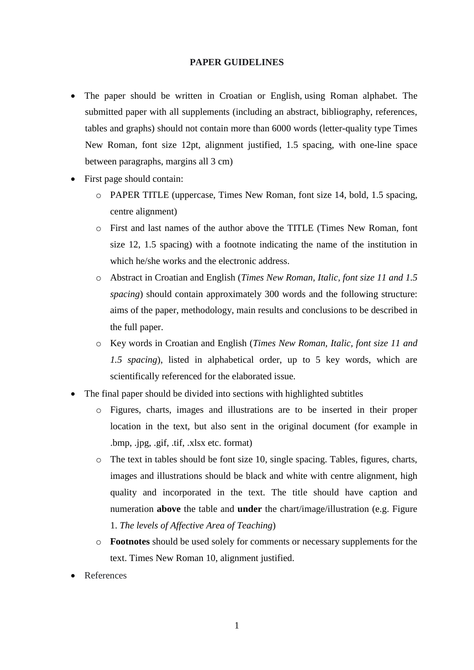#### **PAPER GUIDELINES**

- The paper should be written in Croatian or English, using Roman alphabet. The submitted paper with all supplements (including an abstract, bibliography, references, tables and graphs) should not contain more than 6000 words (letter-quality type Times New Roman, font size 12pt, alignment justified, 1.5 spacing, with one-line space between paragraphs, margins all 3 cm)
- First page should contain:
	- o PAPER TITLE (uppercase, Times New Roman, font size 14, bold, 1.5 spacing, centre alignment)
	- o First and last names of the author above the TITLE (Times New Roman, font size 12, 1.5 spacing) with a footnote indicating the name of the institution in which he/she works and the electronic address.
	- o Abstract in Croatian and English (*Times New Roman, Italic, font size 11 and 1.5 spacing*) should contain approximately 300 words and the following structure: aims of the paper, methodology, main results and conclusions to be described in the full paper.
	- o Key words in Croatian and English (*Times New Roman, Italic, font size 11 and 1.5 spacing*), listed in alphabetical order, up to 5 key words, which are scientifically referenced for the elaborated issue.
- The final paper should be divided into sections with highlighted subtitles
	- o Figures, charts, images and illustrations are to be inserted in their proper location in the text, but also sent in the original document (for example in .bmp, .jpg, .gif, .tif, .xlsx etc. format)
	- o The text in tables should be font size 10, single spacing. Tables, figures, charts, images and illustrations should be black and white with centre alignment, high quality and incorporated in the text. The title should have caption and numeration **above** the table and **under** the chart/image/illustration (e.g. Figure 1. *The levels of Affective Area of Teaching*)
	- o **Footnotes** should be used solely for comments or necessary supplements for the text. Times New Roman 10, alignment justified.
- References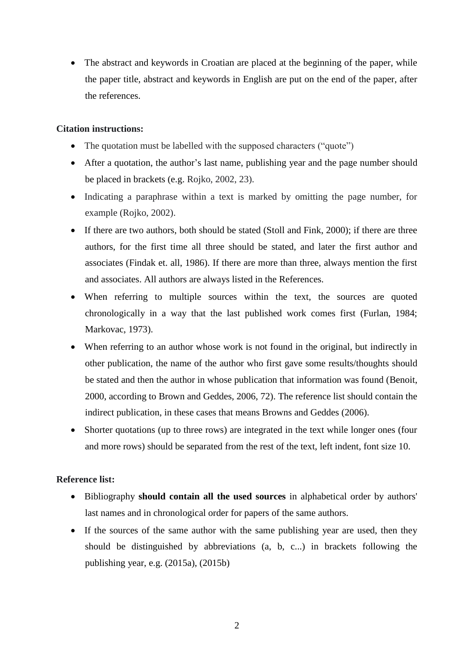• The abstract and keywords in Croatian are placed at the beginning of the paper, while the paper title, abstract and keywords in English are put on the end of the paper, after the references.

## **Citation instructions:**

- The quotation must be labelled with the supposed characters ("quote")
- After a quotation, the author's last name, publishing year and the page number should be placed in brackets (e.g. Rojko, 2002, 23).
- Indicating a paraphrase within a text is marked by omitting the page number, for example (Rojko, 2002).
- If there are two authors, both should be stated (Stoll and Fink, 2000); if there are three authors, for the first time all three should be stated, and later the first author and associates (Findak et. all, 1986). If there are more than three, always mention the first and associates. All authors are always listed in the References.
- When referring to multiple sources within the text, the sources are quoted chronologically in a way that the last published work comes first (Furlan, 1984; Markovac, 1973).
- When referring to an author whose work is not found in the original, but indirectly in other publication, the name of the author who first gave some results/thoughts should be stated and then the author in whose publication that information was found (Benoit, 2000, according to Brown and Geddes, 2006, 72). The reference list should contain the indirect publication, in these cases that means Browns and Geddes (2006).
- Shorter quotations (up to three rows) are integrated in the text while longer ones (four and more rows) should be separated from the rest of the text, left indent, font size 10.

## **Reference list:**

- Bibliography **should contain all the used sources** in alphabetical order by authors' last names and in chronological order for papers of the same authors.
- If the sources of the same author with the same publishing year are used, then they should be distinguished by abbreviations (a, b, c...) in brackets following the publishing year, e.g. (2015a), (2015b)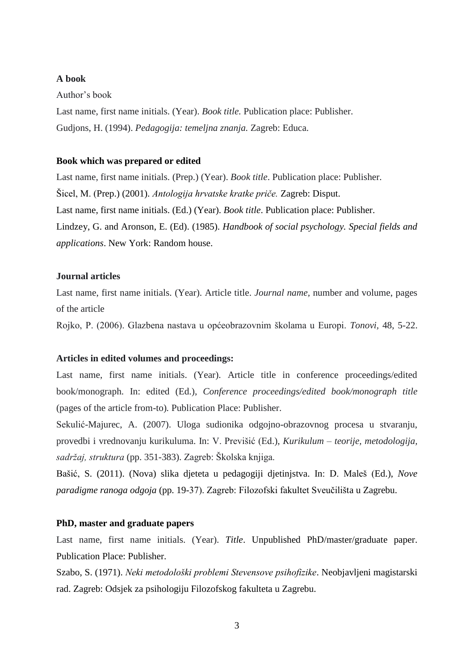## **A book**

#### Author's book

Last name, first name initials. (Year). *Book title.* Publication place: Publisher. Gudjons, H. (1994). *Pedagogija: temeljna znanja.* Zagreb: Educa.

#### **Book which was prepared or edited**

Last name, first name initials. (Prep.) (Year). *Book title*. Publication place: Publisher. Šicel, M. (Prep.) (2001). *Antologija hrvatske kratke priče.* Zagreb: Disput. Last name, first name initials. (Ed.) (Year). *Book title*. Publication place: Publisher. Lindzey, G. and Aronson, E. (Ed). (1985). *Handbook of social psychology. Special fields and applications*. New York: Random house.

## **Journal articles**

Last name, first name initials. (Year). Article title. *Journal name,* number and volume, pages of the article

Rojko, P. (2006). Glazbena nastava u općeobrazovnim školama u Europi. *Tonovi,* 48, 5-22.

#### **Articles in edited volumes and proceedings:**

Last name, first name initials. (Year). Article title in conference proceedings/edited book/monograph. In: edited (Ed.), *Conference proceedings/edited book/monograph title*  (pages of the article from-to)*.* Publication Place: Publisher.

Sekulić-Majurec, A. (2007). Uloga sudionika odgojno-obrazovnog procesa u stvaranju, provedbi i vrednovanju kurikuluma. In: V. Previšić (Ed.), *Kurikulum – teorije, metodologija, sadržaj, struktura* (pp. 351-383). Zagreb: Školska knjiga.

Bašić, S. (2011). (Nova) slika djeteta u pedagogiji djetinjstva. In: D. Maleš (Ed.), *Nove paradigme ranoga odgoja* (pp. 19-37). Zagreb: Filozofski fakultet Sveučilišta u Zagrebu.

#### **PhD, master and graduate papers**

Last name, first name initials. (Year). *Title*. Unpublished PhD/master/graduate paper. Publication Place: Publisher.

Szabo, S. (1971). *Neki metodološki problemi Stevensove psihofizike*. Neobjavljeni magistarski rad. Zagreb: Odsjek za psihologiju Filozofskog fakulteta u Zagrebu.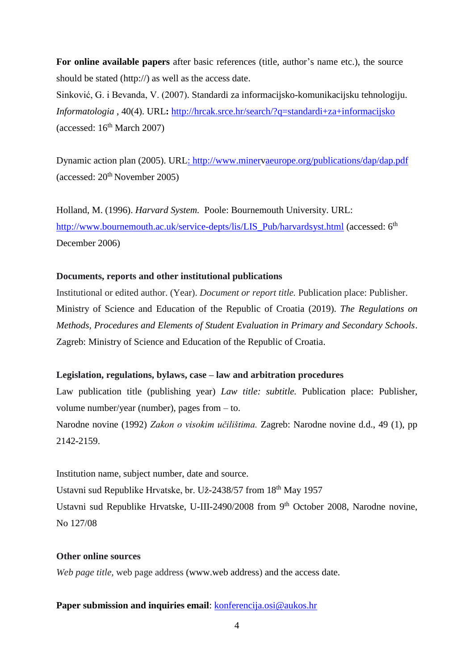For online available papers after basic references (title, author's name etc.), the source should be stated (http://) as well as the access date.

Sinković, G. i Bevanda, V. (2007). Standardi za informacijsko-komunikacijsku tehnologiju. *Informatologia* , 40(4). URL**:** [http://hrcak.srce.hr/search/?q=standardi+za+informacijsko](http://hrcak.srce.hr/search/?q=standardi%2Bza%2Binformacijsko) (accessed:  $16<sup>th</sup> March 2007$ )

Dynamic action plan (2005). UR[L: http://www.minerv](file:///C:/Downloads/:%20http:/www.miner)[aeurope.org/publications/dap/dap.pdf](http://www.minervaeurope.org/publications/dap/dap.pdf)  $(\text{accessed: } 20^{\text{th}} \text{November } 2005)$ 

Holland, M. (1996). *Harvard System.* Poole: Bournemouth University. URL[:](http://www.bournemouth.ac.uk/service-depts/lis/LIS_Pub/harvardsyst.html) [http://www.bournemouth.ac.uk/service-depts/lis/LIS\\_Pub/harvardsyst.html](http://www.bournemouth.ac.uk/service-depts/lis/LIS_Pub/harvardsyst.html) (accessed: 6<sup>th</sup>) December 2006)

## **Documents, reports and other institutional publications**

Institutional or edited author. (Year). *Document or report title.* Publication place: Publisher. Ministry of Science and Education of the Republic of Croatia (2019). *The Regulations on Methods, Procedures and Elements of Student Evaluation in Primary and Secondary Schools*. Zagreb: Ministry of Science and Education of the Republic of Croatia.

## **Legislation, regulations, bylaws, case – law and arbitration procedures**

Law publication title (publishing year) *Law title: subtitle*. Publication place: Publisher, volume number/year (number), pages from – to.

Narodne novine (1992) *Zakon o visokim učilištima.* Zagreb: Narodne novine d.d., 49 (1), pp 2142-2159.

Institution name, subject number, date and source. Ustavni sud Republike Hrvatske, br. Už-2438/57 from 18th May 1957 Ustavni sud Republike Hrvatske, U-III-2490/2008 from 9<sup>th</sup> October 2008, Narodne novine, No 127/08

## **Other online sources**

*Web page title,* web page address [\(www.web](http://www.web/) address) and the access date.

## Paper submission and inquiries email: [konferencija.osi@aukos.hr](mailto:konferencija.osi@aukos.hr)